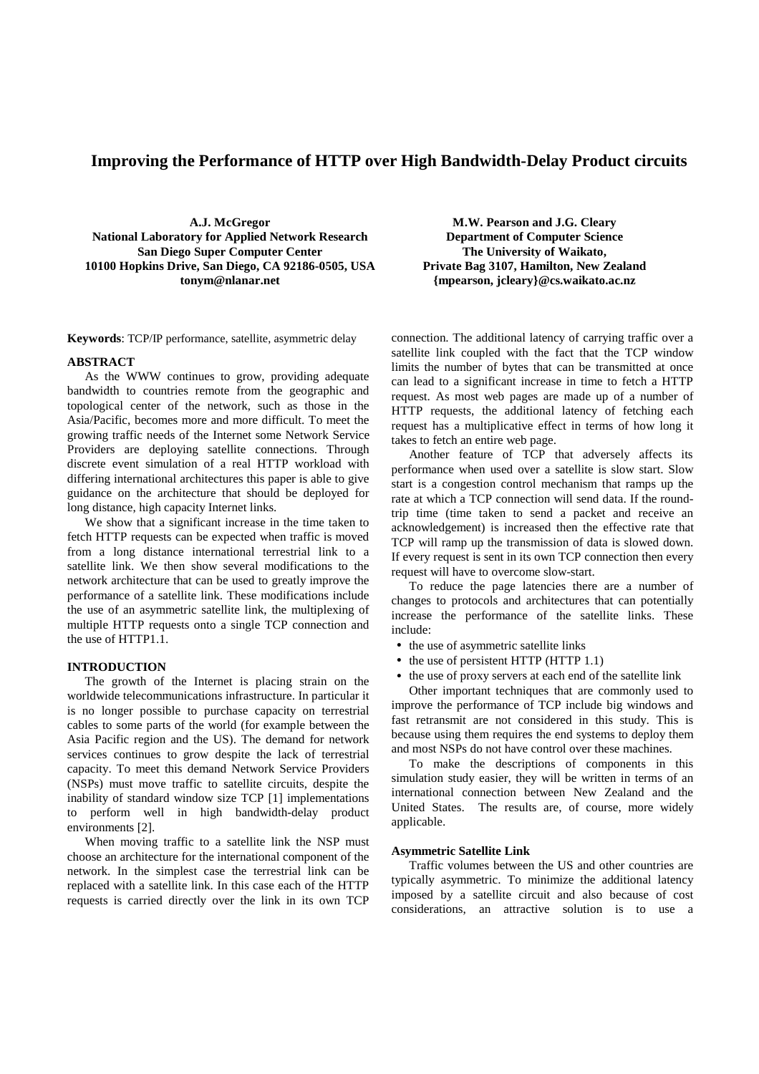# **Improving the Performance of HTTP over High Bandwidth-Delay Product circuits**

**A.J. McGregor National Laboratory for Applied Network Research San Diego Super Computer Center 10100 Hopkins Drive, San Diego, CA 92186-0505, USA tonym@nlanar.net**

**Keywords**: TCP/IP performance, satellite, asymmetric delay

## **ABSTRACT**

As the WWW continues to grow, providing adequate bandwidth to countries remote from the geographic and topological center of the network, such as those in the Asia/Pacific, becomes more and more difficult. To meet the growing traffic needs of the Internet some Network Service Providers are deploying satellite connections. Through discrete event simulation of a real HTTP workload with differing international architectures this paper is able to give guidance on the architecture that should be deployed for long distance, high capacity Internet links.

We show that a significant increase in the time taken to fetch HTTP requests can be expected when traffic is moved from a long distance international terrestrial link to a satellite link. We then show several modifications to the network architecture that can be used to greatly improve the performance of a satellite link. These modifications include the use of an asymmetric satellite link, the multiplexing of multiple HTTP requests onto a single TCP connection and the use of HTTP1.1.

## **INTRODUCTION**

The growth of the Internet is placing strain on the worldwide telecommunications infrastructure. In particular it is no longer possible to purchase capacity on terrestrial cables to some parts of the world (for example between the Asia Pacific region and the US). The demand for network services continues to grow despite the lack of terrestrial capacity. To meet this demand Network Service Providers (NSPs) must move traffic to satellite circuits, despite the inability of standard window size TCP [1] implementations to perform well in high bandwidth-delay product environments [2].

When moving traffic to a satellite link the NSP must choose an architecture for the international component of the network. In the simplest case the terrestrial link can be replaced with a satellite link. In this case each of the HTTP requests is carried directly over the link in its own TCP

**M.W. Pearson and J.G. Cleary Department of Computer Science The University of Waikato, Private Bag 3107, Hamilton, New Zealand {mpearson, jcleary}@cs.waikato.ac.nz**

connection. The additional latency of carrying traffic over a satellite link coupled with the fact that the TCP window limits the number of bytes that can be transmitted at once can lead to a significant increase in time to fetch a HTTP request. As most web pages are made up of a number of HTTP requests, the additional latency of fetching each request has a multiplicative effect in terms of how long it takes to fetch an entire web page.

Another feature of TCP that adversely affects its performance when used over a satellite is slow start. Slow start is a congestion control mechanism that ramps up the rate at which a TCP connection will send data. If the roundtrip time (time taken to send a packet and receive an acknowledgement) is increased then the effective rate that TCP will ramp up the transmission of data is slowed down. If every request is sent in its own TCP connection then every request will have to overcome slow-start.

To reduce the page latencies there are a number of changes to protocols and architectures that can potentially increase the performance of the satellite links. These include:

- the use of asymmetric satellite links
- the use of persistent HTTP (HTTP 1.1)
- the use of proxy servers at each end of the satellite link

Other important techniques that are commonly used to improve the performance of TCP include big windows and fast retransmit are not considered in this study. This is because using them requires the end systems to deploy them and most NSPs do not have control over these machines.

To make the descriptions of components in this simulation study easier, they will be written in terms of an international connection between New Zealand and the United States. The results are, of course, more widely applicable.

### **Asymmetric Satellite Link**

Traffic volumes between the US and other countries are typically asymmetric. To minimize the additional latency imposed by a satellite circuit and also because of cost considerations, an attractive solution is to use a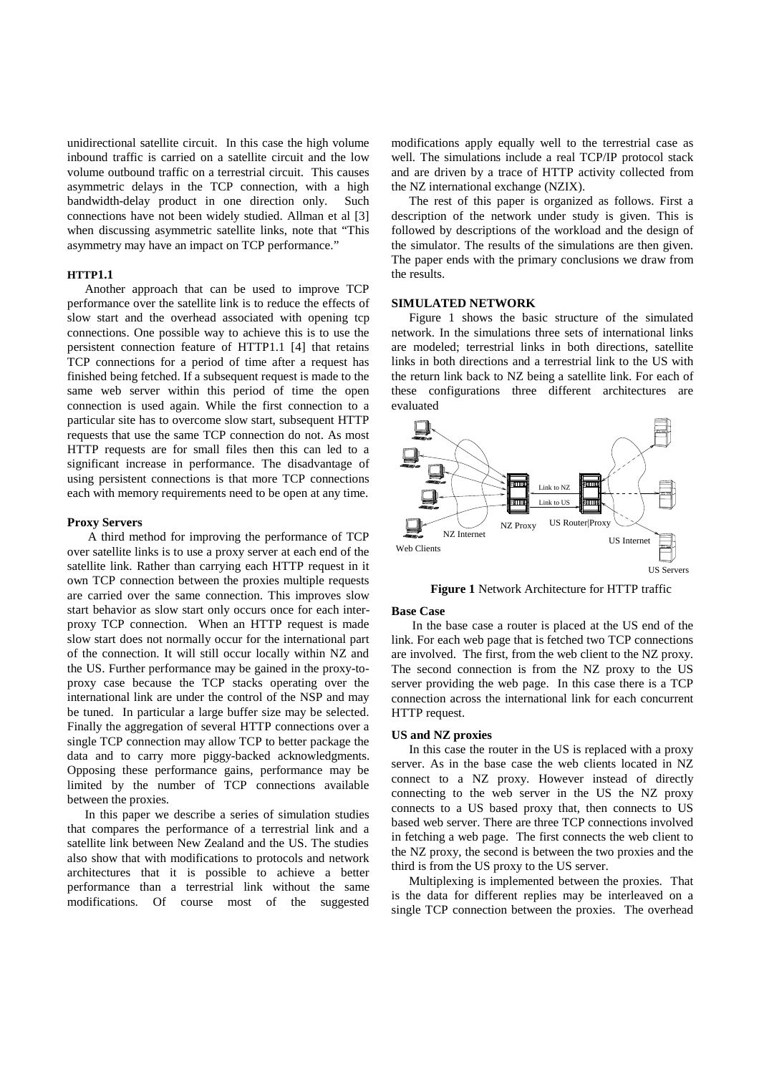unidirectional satellite circuit. In this case the high volume inbound traffic is carried on a satellite circuit and the low volume outbound traffic on a terrestrial circuit. This causes asymmetric delays in the TCP connection, with a high bandwidth-delay product in one direction only. Such connections have not been widely studied. Allman et al [3] when discussing asymmetric satellite links, note that "This asymmetry may have an impact on TCP performance."

# **HTTP1.1**

Another approach that can be used to improve TCP performance over the satellite link is to reduce the effects of slow start and the overhead associated with opening tcp connections. One possible way to achieve this is to use the persistent connection feature of HTTP1.1 [4] that retains TCP connections for a period of time after a request has finished being fetched. If a subsequent request is made to the same web server within this period of time the open connection is used again. While the first connection to a particular site has to overcome slow start, subsequent HTTP requests that use the same TCP connection do not. As most HTTP requests are for small files then this can led to a significant increase in performance. The disadvantage of using persistent connections is that more TCP connections each with memory requirements need to be open at any time.

## **Proxy Servers**

A third method for improving the performance of TCP over satellite links is to use a proxy server at each end of the satellite link. Rather than carrying each HTTP request in it own TCP connection between the proxies multiple requests are carried over the same connection. This improves slow start behavior as slow start only occurs once for each interproxy TCP connection. When an HTTP request is made slow start does not normally occur for the international part of the connection. It will still occur locally within NZ and the US. Further performance may be gained in the proxy-toproxy case because the TCP stacks operating over the international link are under the control of the NSP and may be tuned. In particular a large buffer size may be selected. Finally the aggregation of several HTTP connections over a single TCP connection may allow TCP to better package the data and to carry more piggy-backed acknowledgments. Opposing these performance gains, performance may be limited by the number of TCP connections available between the proxies.

In this paper we describe a series of simulation studies that compares the performance of a terrestrial link and a satellite link between New Zealand and the US. The studies also show that with modifications to protocols and network architectures that it is possible to achieve a better performance than a terrestrial link without the same modifications. Of course most of the suggested modifications apply equally well to the terrestrial case as well. The simulations include a real TCP/IP protocol stack and are driven by a trace of HTTP activity collected from the NZ international exchange (NZIX).

The rest of this paper is organized as follows. First a description of the network under study is given. This is followed by descriptions of the workload and the design of the simulator. The results of the simulations are then given. The paper ends with the primary conclusions we draw from the results.

## **SIMULATED NETWORK**

Figure 1 shows the basic structure of the simulated network. In the simulations three sets of international links are modeled; terrestrial links in both directions, satellite links in both directions and a terrestrial link to the US with the return link back to NZ being a satellite link. For each of these configurations three different architectures are evaluated



**Figure 1** Network Architecture for HTTP traffic

#### **Base Case**

In the base case a router is placed at the US end of the link. For each web page that is fetched two TCP connections are involved. The first, from the web client to the NZ proxy. The second connection is from the NZ proxy to the US server providing the web page. In this case there is a TCP connection across the international link for each concurrent HTTP request.

#### **US and NZ proxies**

In this case the router in the US is replaced with a proxy server. As in the base case the web clients located in NZ connect to a NZ proxy. However instead of directly connecting to the web server in the US the NZ proxy connects to a US based proxy that, then connects to US based web server. There are three TCP connections involved in fetching a web page. The first connects the web client to the NZ proxy, the second is between the two proxies and the third is from the US proxy to the US server.

Multiplexing is implemented between the proxies. That is the data for different replies may be interleaved on a single TCP connection between the proxies. The overhead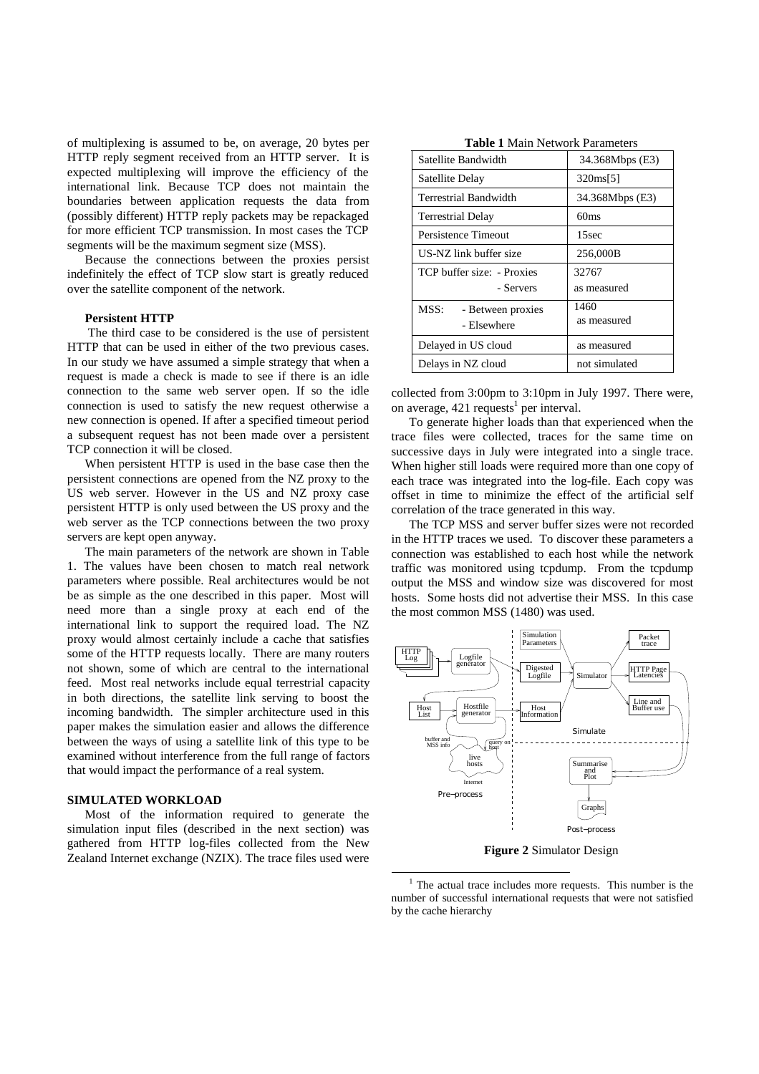of multiplexing is assumed to be, on average, 20 bytes per HTTP reply segment received from an HTTP server. It is expected multiplexing will improve the efficiency of the international link. Because TCP does not maintain the boundaries between application requests the data from (possibly different) HTTP reply packets may be repackaged for more efficient TCP transmission. In most cases the TCP segments will be the maximum segment size (MSS).

Because the connections between the proxies persist indefinitely the effect of TCP slow start is greatly reduced over the satellite component of the network.

## **Persistent HTTP**

The third case to be considered is the use of persistent HTTP that can be used in either of the two previous cases. In our study we have assumed a simple strategy that when a request is made a check is made to see if there is an idle connection to the same web server open. If so the idle connection is used to satisfy the new request otherwise a new connection is opened. If after a specified timeout period a subsequent request has not been made over a persistent TCP connection it will be closed.

When persistent HTTP is used in the base case then the persistent connections are opened from the NZ proxy to the US web server. However in the US and NZ proxy case persistent HTTP is only used between the US proxy and the web server as the TCP connections between the two proxy servers are kept open anyway.

The main parameters of the network are shown in Table 1. The values have been chosen to match real network parameters where possible. Real architectures would be not be as simple as the one described in this paper. Most will need more than a single proxy at each end of the international link to support the required load. The NZ proxy would almost certainly include a cache that satisfies some of the HTTP requests locally. There are many routers not shown, some of which are central to the international feed. Most real networks include equal terrestrial capacity in both directions, the satellite link serving to boost the incoming bandwidth. The simpler architecture used in this paper makes the simulation easier and allows the difference between the ways of using a satellite link of this type to be examined without interference from the full range of factors that would impact the performance of a real system.

## **SIMULATED WORKLOAD**

Most of the information required to generate the simulation input files (described in the next section) was gathered from HTTP log-files collected from the New Zealand Internet exchange (NZIX). The trace files used were

**Table 1** Main Network Parameters

| Satellite Bandwidth                      | 34.368Mbps (E3)      |
|------------------------------------------|----------------------|
| Satellite Delay                          | 320ms[5]             |
| Terrestrial Bandwidth                    | 34.368Mbps (E3)      |
| <b>Terrestrial Delay</b>                 | 60 <sub>ms</sub>     |
| Persistence Timeout                      | 15sec                |
| US-NZ link buffer size                   | 256,000B             |
| TCP buffer size: - Proxies<br>- Servers  | 32767<br>as measured |
| MSS:<br>- Between proxies<br>- Elsewhere | 1460<br>as measured  |
| Delayed in US cloud                      | as measured          |
| Delays in NZ cloud                       | not simulated        |

collected from 3:00pm to 3:10pm in July 1997. There were, on average,  $421$  requests<sup>1</sup> per interval.

To generate higher loads than that experienced when the trace files were collected, traces for the same time on successive days in July were integrated into a single trace. When higher still loads were required more than one copy of each trace was integrated into the log-file. Each copy was offset in time to minimize the effect of the artificial self correlation of the trace generated in this way.

The TCP MSS and server buffer sizes were not recorded in the HTTP traces we used. To discover these parameters a connection was established to each host while the network traffic was monitored using tcpdump. From the tcpdump output the MSS and window size was discovered for most hosts. Some hosts did not advertise their MSS. In this case the most common MSS (1480) was used.



**Figure 2** Simulator Design

 $1$  The actual trace includes more requests. This number is the number of successful international requests that were not satisfied by the cache hierarchy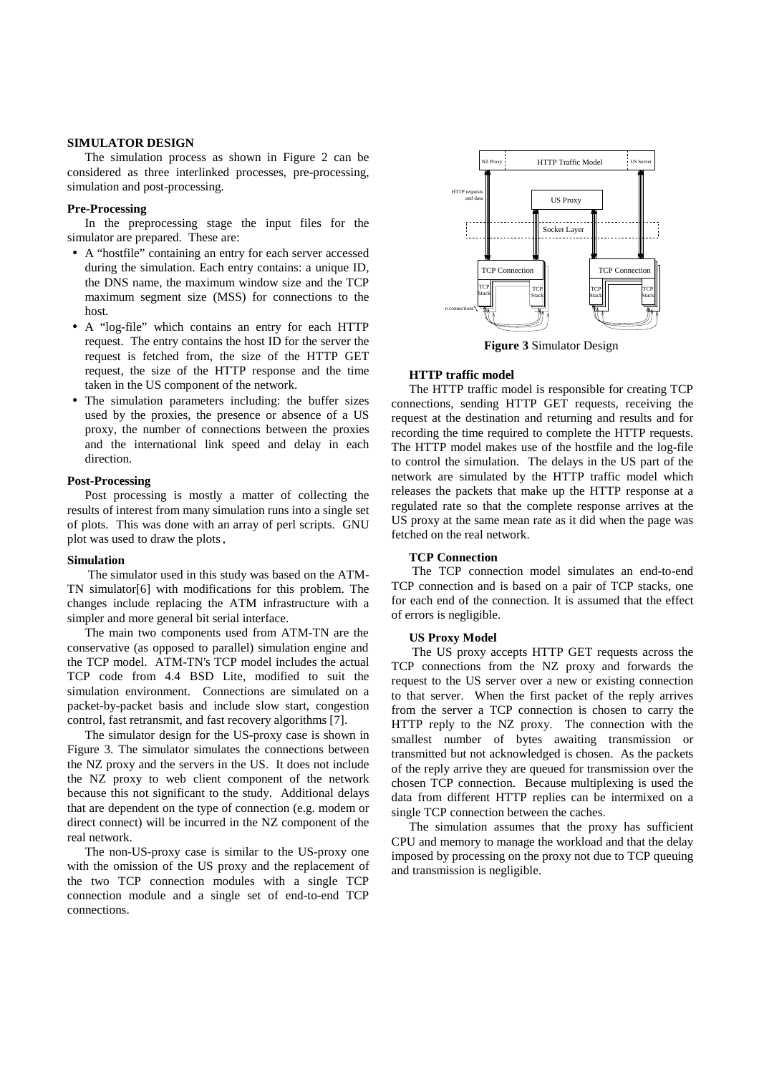## **SIMULATOR DESIGN**

The simulation process as shown in Figure 2 can be considered as three interlinked processes, pre-processing, simulation and post-processing.

#### **Pre-Processing**

In the preprocessing stage the input files for the simulator are prepared. These are:

- A "hostfile" containing an entry for each server accessed during the simulation. Each entry contains: a unique ID, the DNS name, the maximum window size and the TCP maximum segment size (MSS) for connections to the host.
- A "log-file" which contains an entry for each HTTP request. The entry contains the host ID for the server the request is fetched from, the size of the HTTP GET request, the size of the HTTP response and the time taken in the US component of the network.
- The simulation parameters including: the buffer sizes used by the proxies, the presence or absence of a US proxy, the number of connections between the proxies and the international link speed and delay in each direction.

## **Post-Processing**

Post processing is mostly a matter of collecting the results of interest from many simulation runs into a single set of plots. This was done with an array of perl scripts. GNU plot was used to draw the plots.

#### **Simulation**

The simulator used in this study was based on the ATM-TN simulator[6] with modifications for this problem. The changes include replacing the ATM infrastructure with a simpler and more general bit serial interface.

The main two components used from ATM-TN are the conservative (as opposed to parallel) simulation engine and the TCP model. ATM-TN's TCP model includes the actual TCP code from 4.4 BSD Lite, modified to suit the simulation environment. Connections are simulated on a packet-by-packet basis and include slow start, congestion control, fast retransmit, and fast recovery algorithms [7].

The simulator design for the US-proxy case is shown in Figure 3. The simulator simulates the connections between the NZ proxy and the servers in the US. It does not include the NZ proxy to web client component of the network because this not significant to the study. Additional delays that are dependent on the type of connection (e.g. modem or direct connect) will be incurred in the NZ component of the real network.

The non-US-proxy case is similar to the US-proxy one with the omission of the US proxy and the replacement of the two TCP connection modules with a single TCP connection module and a single set of end-to-end TCP connections.



**Figure 3** Simulator Design

## **HTTP traffic model**

The HTTP traffic model is responsible for creating TCP connections, sending HTTP GET requests, receiving the request at the destination and returning and results and for recording the time required to complete the HTTP requests. The HTTP model makes use of the hostfile and the log-file to control the simulation. The delays in the US part of the network are simulated by the HTTP traffic model which releases the packets that make up the HTTP response at a regulated rate so that the complete response arrives at the US proxy at the same mean rate as it did when the page was fetched on the real network.

## **TCP Connection**

The TCP connection model simulates an end-to-end TCP connection and is based on a pair of TCP stacks, one for each end of the connection. It is assumed that the effect of errors is negligible.

## **US Proxy Model**

The US proxy accepts HTTP GET requests across the TCP connections from the NZ proxy and forwards the request to the US server over a new or existing connection to that server. When the first packet of the reply arrives from the server a TCP connection is chosen to carry the HTTP reply to the NZ proxy. The connection with the smallest number of bytes awaiting transmission or transmitted but not acknowledged is chosen. As the packets of the reply arrive they are queued for transmission over the chosen TCP connection. Because multiplexing is used the data from different HTTP replies can be intermixed on a single TCP connection between the caches.

The simulation assumes that the proxy has sufficient CPU and memory to manage the workload and that the delay imposed by processing on the proxy not due to TCP queuing and transmission is negligible.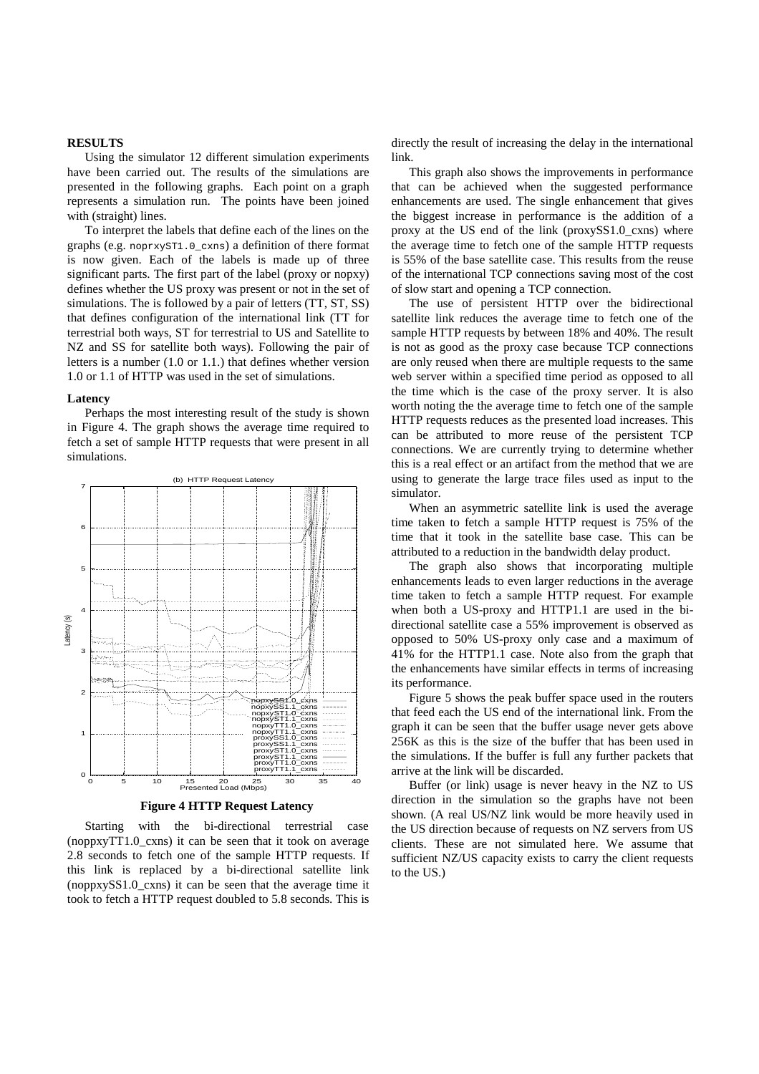### **RESULTS**

Using the simulator 12 different simulation experiments have been carried out. The results of the simulations are presented in the following graphs. Each point on a graph represents a simulation run. The points have been joined with (straight) lines.

To interpret the labels that define each of the lines on the graphs (e.g. noprxyST1.0\_cxns) a definition of there format is now given. Each of the labels is made up of three significant parts. The first part of the label (proxy or nopxy) defines whether the US proxy was present or not in the set of simulations. The is followed by a pair of letters (TT, ST, SS) that defines configuration of the international link (TT for terrestrial both ways, ST for terrestrial to US and Satellite to NZ and SS for satellite both ways). Following the pair of letters is a number (1.0 or 1.1.) that defines whether version 1.0 or 1.1 of HTTP was used in the set of simulations.

#### **Latency**

Perhaps the most interesting result of the study is shown in Figure 4. The graph shows the average time required to fetch a set of sample HTTP requests that were present in all simulations.



**Figure 4 HTTP Request Latency**

Starting with the bi-directional terrestrial case (noppxyTT1.0\_cxns) it can be seen that it took on average 2.8 seconds to fetch one of the sample HTTP requests. If this link is replaced by a bi-directional satellite link (noppxySS1.0\_cxns) it can be seen that the average time it took to fetch a HTTP request doubled to 5.8 seconds. This is

directly the result of increasing the delay in the international link.

This graph also shows the improvements in performance that can be achieved when the suggested performance enhancements are used. The single enhancement that gives the biggest increase in performance is the addition of a proxy at the US end of the link (proxySS1.0 cxns) where the average time to fetch one of the sample HTTP requests is 55% of the base satellite case. This results from the reuse of the international TCP connections saving most of the cost of slow start and opening a TCP connection.

The use of persistent HTTP over the bidirectional satellite link reduces the average time to fetch one of the sample HTTP requests by between 18% and 40%. The result is not as good as the proxy case because TCP connections are only reused when there are multiple requests to the same web server within a specified time period as opposed to all the time which is the case of the proxy server. It is also worth noting the the average time to fetch one of the sample HTTP requests reduces as the presented load increases. This can be attributed to more reuse of the persistent TCP connections. We are currently trying to determine whether this is a real effect or an artifact from the method that we are using to generate the large trace files used as input to the simulator.

When an asymmetric satellite link is used the average time taken to fetch a sample HTTP request is 75% of the time that it took in the satellite base case. This can be attributed to a reduction in the bandwidth delay product.

The graph also shows that incorporating multiple enhancements leads to even larger reductions in the average time taken to fetch a sample HTTP request. For example when both a US-proxy and HTTP1.1 are used in the bidirectional satellite case a 55% improvement is observed as opposed to 50% US-proxy only case and a maximum of 41% for the HTTP1.1 case. Note also from the graph that the enhancements have similar effects in terms of increasing its performance.

Figure 5 shows the peak buffer space used in the routers that feed each the US end of the international link. From the graph it can be seen that the buffer usage never gets above 256K as this is the size of the buffer that has been used in the simulations. If the buffer is full any further packets that arrive at the link will be discarded.

Buffer (or link) usage is never heavy in the NZ to US direction in the simulation so the graphs have not been shown. (A real US/NZ link would be more heavily used in the US direction because of requests on NZ servers from US clients. These are not simulated here. We assume that sufficient NZ/US capacity exists to carry the client requests to the US.)